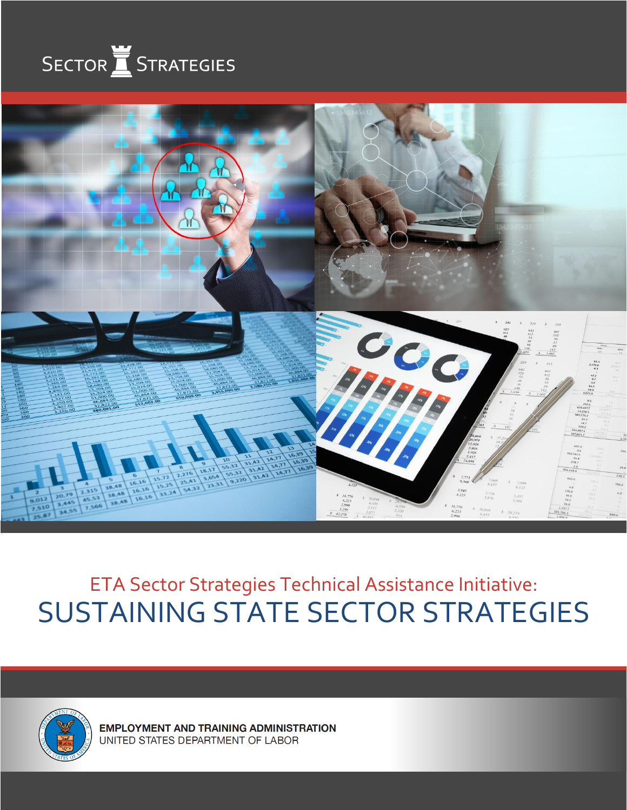



ETA Sector Strategies Technical Assistance Initiative: SUSTAINING STATE SECTOR STRATEGIES



**EMPLOYMENT AND TRAINING ADMINISTRATION** UNITED STATES DEPARTMENT OF LABOR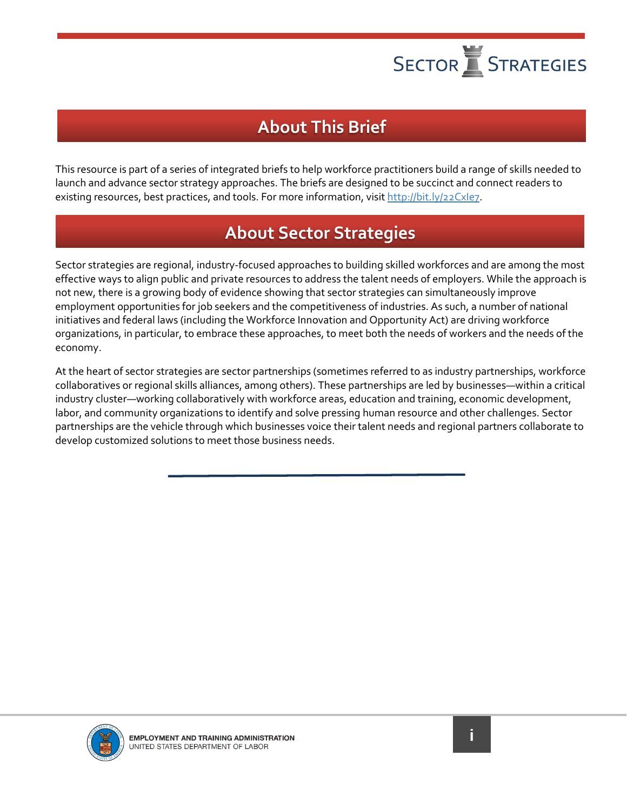### **About This Brief**

This resource is part of a series of integrated briefs to help workforce practitioners build a range of skills needed to launch and advance sector strategy approaches. The briefs are designed to be succinct and connect readers to existing resources, best practices, and tools. For more information, visit http://bit.ly/22Cxle7.

### **About Sector Strategies**

Sector strategies are regional, industry-focused approaches to building skilled workforces and are among the most effective ways to align public and private resources to address the talent needs of employers. While the approach is not new, there is a growing body of evidence showing that sector strategies can simultaneously improve employment opportunities for job seekers and the competitiveness of industries. As such, a number of national initiatives and federal laws (including the Workforce Innovation and Opportunity Act) are driving workforce organizations, in particular, to embrace these approaches, to meet both the needs of workers and the needs of the economy.

At the heart of sector strategies are sector partnerships (sometimes referred to as industry partnerships, workforce collaboratives or regional skills alliances, among others). These partnerships are led by businesses—within a critical industry cluster—working collaboratively with workforce areas, education and training, economic development, labor, and community organizations to identify and solve pressing human resource and other challenges. Sector partnerships are the vehicle through which businesses voice their talent needs and regional partners collaborate to develop customized solutions to meet those business needs.

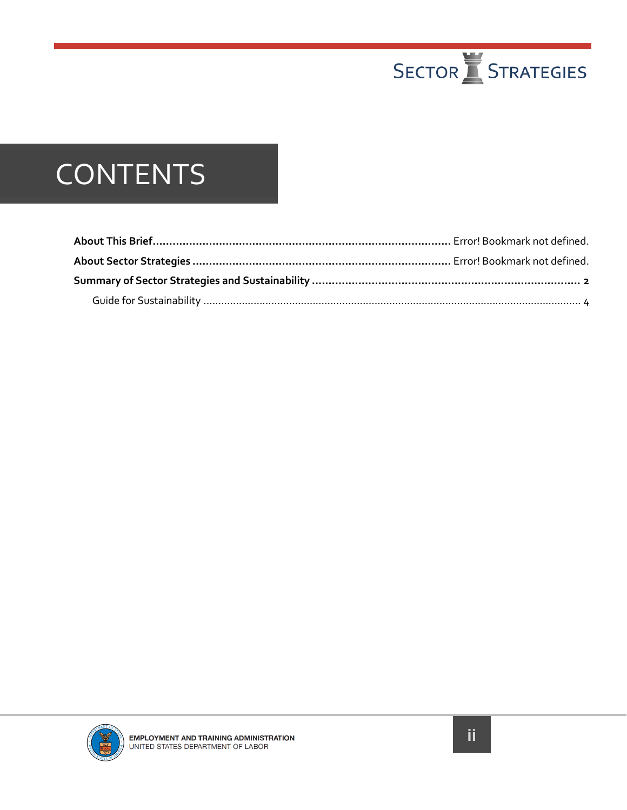

### **CONTENTS**

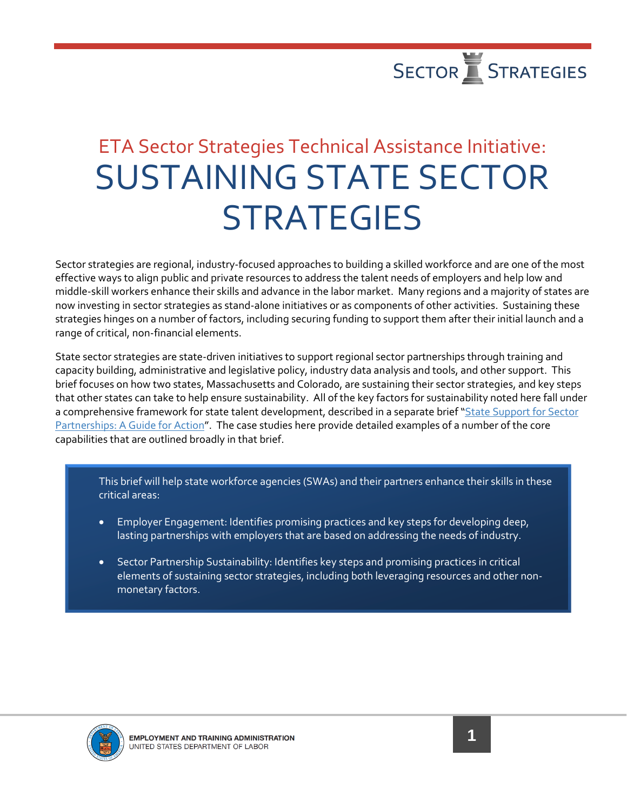

### ETA Sector Strategies Technical Assistance Initiative: SUSTAINING STATE SECTOR **STRATEGIES**

Sector strategies are regional, industry-focused approaches to building a skilled workforce and are one of the most effective ways to align public and private resources to address the talent needs of employers and help low and middle-skill workers enhance their skills and advance in the labor market. Many regions and a majority of states are now investing in sector strategies as stand-alone initiatives or as components of other activities. Sustaining these strategies hinges on a number of factors, including securing funding to support them after their initial launch and a range of critical, non-financial elements.

State sector strategies are state-driven initiatives to support regional sector partnerships through training and capacity building, administrative and legislative policy, industry data analysis and tools, and other support. This brief focuses on how two states, Massachusetts and Colorado, are sustaining their sector strategies, and key steps that other states can take to help ensure sustainability. All of the key factors for sustainability noted here fall under a comprehensive framework for state talent development, described in a separate brief "[State Support for Sector](https://businessengagement.workforcegps.org/~/media/WorkforceGPS/ion/Files/New%20Sector%20Strategies/SS_State_Framework_20160602r1FINALbc.pdf)  [Partnerships: A Guide for Action](https://businessengagement.workforcegps.org/~/media/WorkforceGPS/ion/Files/New%20Sector%20Strategies/SS_State_Framework_20160602r1FINALbc.pdf)". The case studies here provide detailed examples of a number of the core capabilities that are outlined broadly in that brief.

This brief will help state workforce agencies (SWAs) and their partners enhance their skills in these critical areas:

- Employer Engagement: Identifies promising practices and key steps for developing deep, lasting partnerships with employers that are based on addressing the needs of industry.
- Sector Partnership Sustainability: Identifies key steps and promising practices in critical elements of sustaining sector strategies, including both leveraging resources and other nonmonetary factors.



Ξ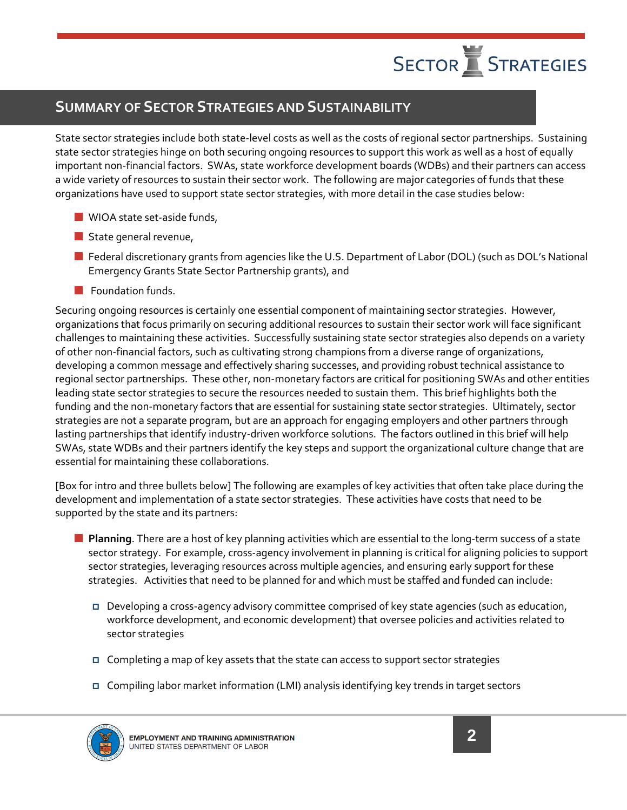

#### <span id="page-4-0"></span>**SUMMARY OF SECTOR STRATEGIES AND SUSTAINABILITY**

State sector strategies include both state-level costs as well as the costs of regional sector partnerships. Sustaining state sector strategies hinge on both securing ongoing resources to support this work as well as a host of equally important non-financial factors. SWAs, state workforce development boards (WDBs) and their partners can access a wide variety of resources to sustain their sector work. The following are major categories of funds that these organizations have used to support state sector strategies, with more detail in the case studies below:

- **WIOA state set-aside funds,**
- State general revenue,
- Federal discretionary grants from agencies like the U.S. Department of Labor (DOL) (such as DOL's National Emergency Grants State Sector Partnership grants), and
- **Foundation funds.**

Securing ongoing resources is certainly one essential component of maintaining sector strategies. However, organizations that focus primarily on securing additional resources to sustain their sector work will face significant challenges to maintaining these activities. Successfully sustaining state sector strategies also depends on a variety of other non-financial factors, such as cultivating strong champions from a diverse range of organizations, developing a common message and effectively sharing successes, and providing robust technical assistance to regional sector partnerships. These other, non-monetary factors are critical for positioning SWAs and other entities leading state sector strategies to secure the resources needed to sustain them. This brief highlights both the funding and the non-monetary factors that are essential for sustaining state sector strategies. Ultimately, sector strategies are not a separate program, but are an approach for engaging employers and other partners through lasting partnerships that identify industry-driven workforce solutions. The factors outlined in this brief will help SWAs, state WDBs and their partners identify the key steps and support the organizational culture change that are essential for maintaining these collaborations.

[Box for intro and three bullets below] The following are examples of key activities that often take place during the development and implementation of a state sector strategies. These activities have costs that need to be supported by the state and its partners:

- **Planning**. There are a host of key planning activities which are essential to the long-term success of a state sector strategy. For example, cross-agency involvement in planning is critical for aligning policies to support sector strategies, leveraging resources across multiple agencies, and ensuring early support for these strategies. Activities that need to be planned for and which must be staffed and funded can include:
	- Developing a cross-agency advisory committee comprised of key state agencies (such as education, workforce development, and economic development) that oversee policies and activities related to sector strategies
	- $\Box$  Completing a map of key assets that the state can access to support sector strategies
	- Compiling labor market information (LMI) analysis identifying key trends in target sectors

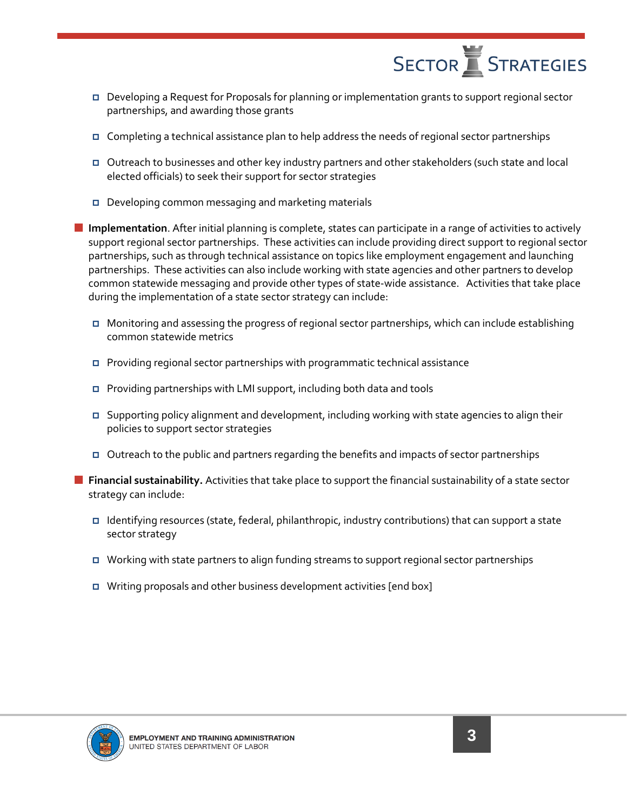

- Developing a Request for Proposals for planning or implementation grants to support regional sector partnerships, and awarding those grants
- **Completing a technical assistance plan to help address the needs of regional sector partnerships**
- Outreach to businesses and other key industry partners and other stakeholders (such state and local elected officials) to seek their support for sector strategies
- Developing common messaging and marketing materials

 **Implementation**. After initial planning is complete, states can participate in a range of activities to actively support regional sector partnerships. These activities can include providing direct support to regional sector partnerships, such as through technical assistance on topics like employment engagement and launching partnerships. These activities can also include working with state agencies and other partners to develop common statewide messaging and provide other types of state-wide assistance. Activities that take place during the implementation of a state sector strategy can include:

- Monitoring and assessing the progress of regional sector partnerships, which can include establishing common statewide metrics
- Providing regional sector partnerships with programmatic technical assistance
- Providing partnerships with LMI support, including both data and tools
- Supporting policy alignment and development, including working with state agencies to align their policies to support sector strategies
- $\Box$  Outreach to the public and partners regarding the benefits and impacts of sector partnerships
- **Financial sustainability.** Activities that take place to support the financial sustainability of a state sector strategy can include:
	- Identifying resources (state, federal, philanthropic, industry contributions) that can support a state sector strategy
	- Working with state partners to align funding streams to support regional sector partnerships
	- Writing proposals and other business development activities [end box]

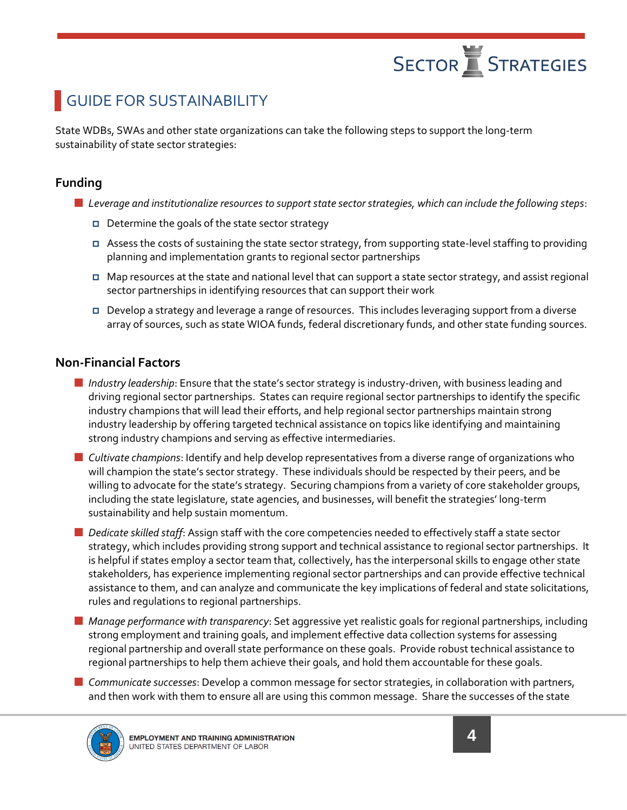### <span id="page-6-0"></span>GUIDE FOR SUSTAINABILITY

State WDBs, SWAs and other state organizations can take the following steps to support the long-term sustainability of state sector strategies:

#### **Funding**

- *Leverage and institutionalize resources to support state sector strategies, which can include the following steps*:
	- **D** Determine the goals of the state sector strategy
	- Assess the costs of sustaining the state sector strategy, from supporting state-level staffing to providing planning and implementation grants to regional sector partnerships
	- Map resources at the state and national level that can support a state sector strategy, and assist regional sector partnerships in identifying resources that can support their work
	- Develop a strategy and leverage a range of resources. This includes leveraging support from a diverse array of sources, such as state WIOA funds, federal discretionary funds, and other state funding sources.

#### **Non-Financial Factors**

- *Industry leadership*: Ensure that the state's sector strategy is industry-driven, with business leading and driving regional sector partnerships. States can require regional sector partnerships to identify the specific industry champions that will lead their efforts, and help regional sector partnerships maintain strong industry leadership by offering targeted technical assistance on topics like identifying and maintaining strong industry champions and serving as effective intermediaries.
- *Cultivate champions*: Identify and help develop representatives from a diverse range of organizations who will champion the state's sector strategy. These individuals should be respected by their peers, and be willing to advocate for the state's strategy. Securing champions from a variety of core stakeholder groups, including the state legislature, state agencies, and businesses, will benefit the strategies' long-term sustainability and help sustain momentum.
- *Dedicate skilled staff*: Assign staff with the core competencies needed to effectively staff a state sector strategy, which includes providing strong support and technical assistance to regional sector partnerships. It is helpful if states employ a sector team that, collectively, has the interpersonal skills to engage other state stakeholders, has experience implementing regional sector partnerships and can provide effective technical assistance to them, and can analyze and communicate the key implications of federal and state solicitations, rules and regulations to regional partnerships.
- *Manage performance with transparency*: Set aggressive yet realistic goals for regional partnerships, including strong employment and training goals, and implement effective data collection systems for assessing regional partnership and overall state performance on these goals. Provide robust technical assistance to regional partnerships to help them achieve their goals, and hold them accountable for these goals.
- *Communicate successes*: Develop a common message for sector strategies, in collaboration with partners, and then work with them to ensure all are using this common message. Share the successes of the state

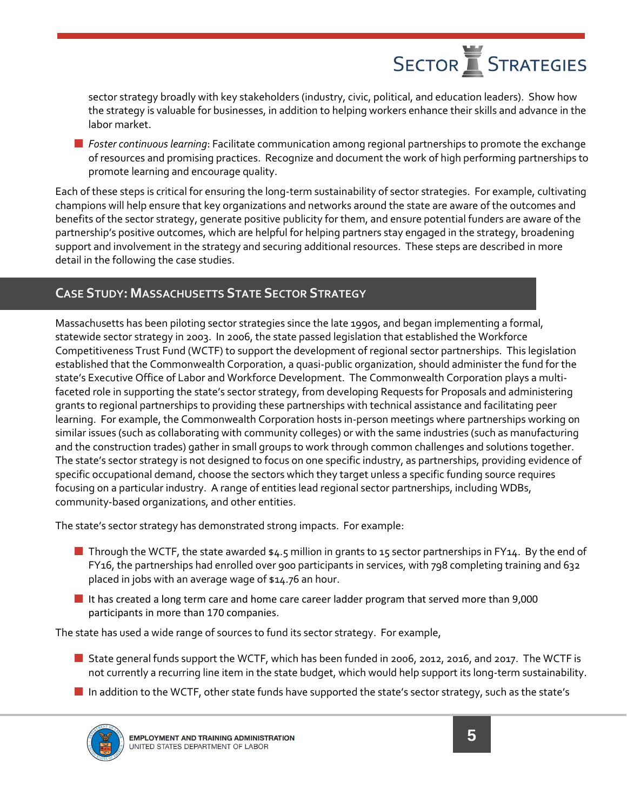sector strategy broadly with key stakeholders (industry, civic, political, and education leaders). Show how the strategy is valuable for businesses, in addition to helping workers enhance their skills and advance in the labor market.

 *Foster continuous learning*: Facilitate communication among regional partnerships to promote the exchange of resources and promising practices. Recognize and document the work of high performing partnerships to promote learning and encourage quality.

Each of these steps is critical for ensuring the long-term sustainability of sector strategies. For example, cultivating champions will help ensure that key organizations and networks around the state are aware of the outcomes and benefits of the sector strategy, generate positive publicity for them, and ensure potential funders are aware of the partnership's positive outcomes, which are helpful for helping partners stay engaged in the strategy, broadening support and involvement in the strategy and securing additional resources. These steps are described in more detail in the following the case studies.

#### **CASE STUDY: MASSACHUSETTS STATE SECTOR STRATEGY**

Massachusetts has been piloting sector strategies since the late 1990s, and began implementing a formal, statewide sector strategy in 2003. In 2006, the state passed legislation that established the Workforce Competitiveness Trust Fund (WCTF) to support the development of regional sector partnerships. This legislation established that the Commonwealth Corporation, a quasi-public organization, should administer the fund for the state's Executive Office of Labor and Workforce Development. The Commonwealth Corporation plays a multifaceted role in supporting the state's sector strategy, from developing Requests for Proposals and administering grants to regional partnerships to providing these partnerships with technical assistance and facilitating peer learning. For example, the Commonwealth Corporation hosts in-person meetings where partnerships working on similar issues (such as collaborating with community colleges) or with the same industries (such as manufacturing and the construction trades) gather in small groups to work through common challenges and solutions together. The state's sector strategy is not designed to focus on one specific industry, as partnerships, providing evidence of specific occupational demand, choose the sectors which they target unless a specific funding source requires focusing on a particular industry. A range of entities lead regional sector partnerships, including WDBs, community-based organizations, and other entities.

The state's sector strategy has demonstrated strong impacts. For example:

- **Through the WCTF, the state awarded**  $\frac{1}{4.5}$  **million in grants to 15 sector partnerships in FY14. By the end of** FY16, the partnerships had enrolled over 900 participants in services, with 798 completing training and 632 placed in jobs with an average wage of \$14.76 an hour.
- It has created a long term care and home care career ladder program that served more than 9,000 participants in more than 170 companies.

The state has used a wide range of sources to fund its sector strategy. For example,

- State general funds support the WCTF, which has been funded in 2006, 2012, 2016, and 2017. The WCTF is not currently a recurring line item in the state budget, which would help support its long-term sustainability.
- In addition to the WCTF, other state funds have supported the state's sector strategy, such as the state's

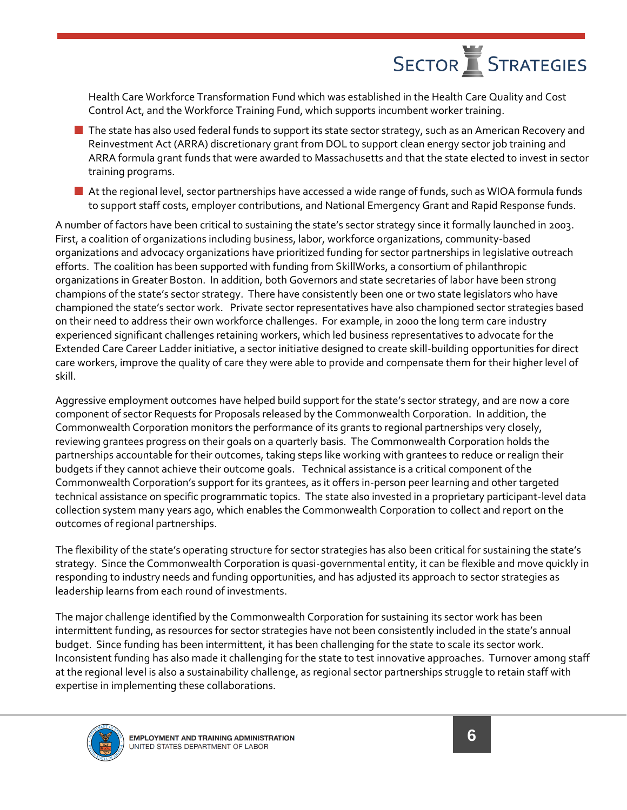Health Care Workforce Transformation Fund which was established in the Health Care Quality and Cost Control Act, and the Workforce Training Fund, which supports incumbent worker training.

- The state has also used federal funds to support its state sector strategy, such as an American Recovery and Reinvestment Act (ARRA) discretionary grant from DOL to support clean energy sector job training and ARRA formula grant funds that were awarded to Massachusetts and that the state elected to invest in sector training programs.
- At the regional level, sector partnerships have accessed a wide range of funds, such as WIOA formula funds to support staff costs, employer contributions, and National Emergency Grant and Rapid Response funds.

A number of factors have been critical to sustaining the state's sector strategy since it formally launched in 2003. First, a coalition of organizations including business, labor, workforce organizations, community-based organizations and advocacy organizations have prioritized funding for sector partnerships in legislative outreach efforts. The coalition has been supported with funding from SkillWorks, a consortium of philanthropic organizations in Greater Boston. In addition, both Governors and state secretaries of labor have been strong champions of the state's sector strategy. There have consistently been one or two state legislators who have championed the state's sector work. Private sector representatives have also championed sector strategies based on their need to address their own workforce challenges. For example, in 2000 the long term care industry experienced significant challenges retaining workers, which led business representatives to advocate for the Extended Care Career Ladder initiative, a sector initiative designed to create skill-building opportunities for direct care workers, improve the quality of care they were able to provide and compensate them for their higher level of skill.

Aggressive employment outcomes have helped build support for the state's sector strategy, and are now a core component of sector Requests for Proposals released by the Commonwealth Corporation. In addition, the Commonwealth Corporation monitors the performance of its grants to regional partnerships very closely, reviewing grantees progress on their goals on a quarterly basis. The Commonwealth Corporation holds the partnerships accountable for their outcomes, taking steps like working with grantees to reduce or realign their budgets if they cannot achieve their outcome goals. Technical assistance is a critical component of the Commonwealth Corporation's support for its grantees, as it offers in-person peer learning and other targeted technical assistance on specific programmatic topics. The state also invested in a proprietary participant-level data collection system many years ago, which enables the Commonwealth Corporation to collect and report on the outcomes of regional partnerships.

The flexibility of the state's operating structure for sector strategies has also been critical for sustaining the state's strategy. Since the Commonwealth Corporation is quasi-governmental entity, it can be flexible and move quickly in responding to industry needs and funding opportunities, and has adjusted its approach to sector strategies as leadership learns from each round of investments.

The major challenge identified by the Commonwealth Corporation for sustaining its sector work has been intermittent funding, as resources for sector strategies have not been consistently included in the state's annual budget. Since funding has been intermittent, it has been challenging for the state to scale its sector work. Inconsistent funding has also made it challenging for the state to test innovative approaches. Turnover among staff at the regional level is also a sustainability challenge, as regional sector partnerships struggle to retain staff with expertise in implementing these collaborations.

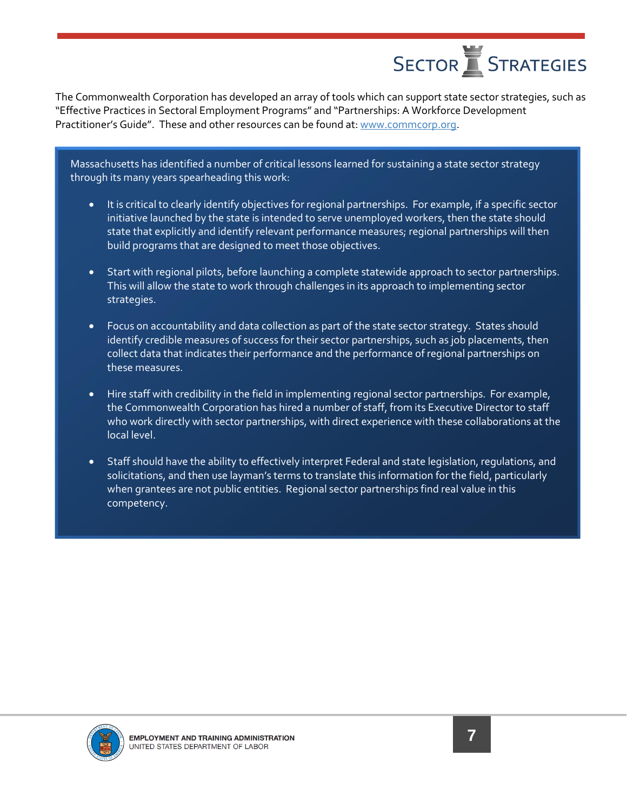The Commonwealth Corporation has developed an array of tools which can support state sector strategies, such as "Effective Practices in Sectoral Employment Programs" and "Partnerships: A Workforce Development Practitioner's Guide". These and other resources can be found at: [www.commcorp.org.](http://www.commcorp.org/)

Massachusetts has identified a number of critical lessons learned for sustaining a state sector strategy through its many years spearheading this work:

- It is critical to clearly identify objectives for regional partnerships. For example, if a specific sector initiative launched by the state is intended to serve unemployed workers, then the state should state that explicitly and identify relevant performance measures; regional partnerships will then build programs that are designed to meet those objectives.
- Start with regional pilots, before launching a complete statewide approach to sector partnerships. This will allow the state to work through challenges in its approach to implementing sector strategies.
- Focus on accountability and data collection as part of the state sector strategy. States should identify credible measures of success for their sector partnerships, such as job placements, then collect data that indicates their performance and the performance of regional partnerships on these measures.
- Hire staff with credibility in the field in implementing regional sector partnerships. For example, the Commonwealth Corporation has hired a number of staff, from its Executive Director to staff who work directly with sector partnerships, with direct experience with these collaborations at the local level.
- Staff should have the ability to effectively interpret Federal and state legislation, regulations, and solicitations, and then use layman's terms to translate this information for the field, particularly when grantees are not public entities. Regional sector partnerships find real value in this competency.

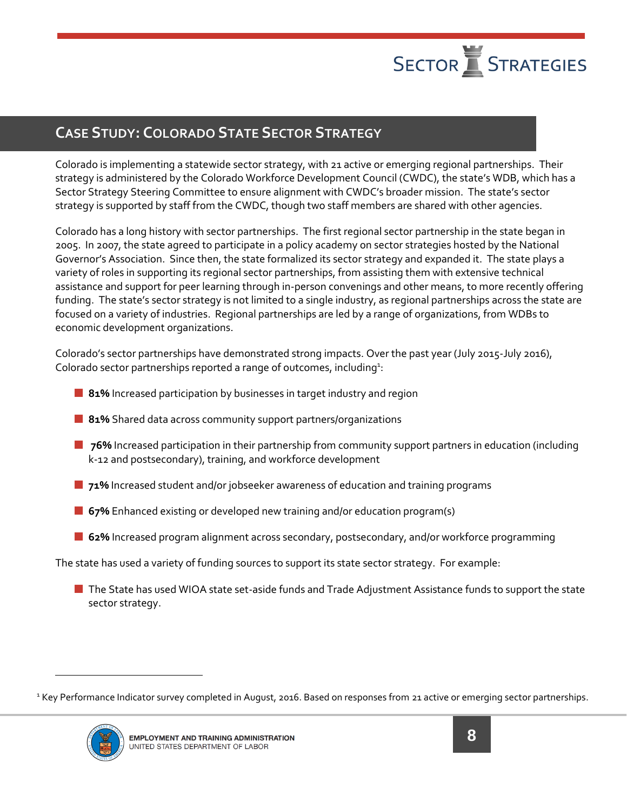

#### **CASE STUDY: COLORADO STATE SECTOR STRATEGY**

Colorado is implementing a statewide sector strategy, with 21 active or emerging regional partnerships. Their strategy is administered by the Colorado Workforce Development Council (CWDC), the state's WDB, which has a Sector Strategy Steering Committee to ensure alignment with CWDC's broader mission. The state's sector strategy is supported by staff from the CWDC, though two staff members are shared with other agencies.

Colorado has a long history with sector partnerships. The first regional sector partnership in the state began in 2005. In 2007, the state agreed to participate in a policy academy on sector strategies hosted by the National Governor's Association. Since then, the state formalized its sector strategy and expanded it. The state plays a variety of roles in supporting its regional sector partnerships, from assisting them with extensive technical assistance and support for peer learning through in-person convenings and other means, to more recently offering funding. The state's sector strategy is not limited to a single industry, as regional partnerships across the state are focused on a variety of industries. Regional partnerships are led by a range of organizations, from WDBs to economic development organizations.

Colorado's sector partnerships have demonstrated strong impacts. Over the past year (July 2015-July 2016), Colorado sector partnerships reported a range of outcomes, including $2$ :

- **81%** Increased participation by businesses in target industry and region
- **81%** Shared data across community support partners/organizations
- **176%** Increased participation in their partnership from community support partners in education (including k-12 and postsecondary), training, and workforce development
- **71%** Increased student and/or jobseeker awareness of education and training programs
- **67%** Enhanced existing or developed new training and/or education program(s)
- **62%** Increased program alignment across secondary, postsecondary, and/or workforce programming

The state has used a variety of funding sources to support its state sector strategy. For example:

■ The State has used WIOA state set-aside funds and Trade Adjustment Assistance funds to support the state sector strategy.

<sup>&</sup>lt;sup>1</sup> Key Performance Indicator survey completed in August, 2016. Based on responses from 21 active or emerging sector partnerships.



 $\overline{a}$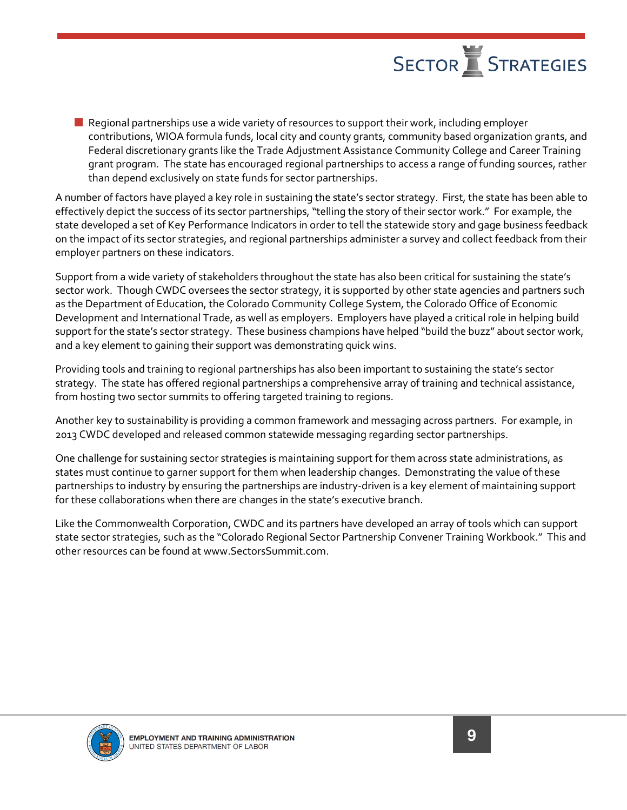$\blacksquare$  Regional partnerships use a wide variety of resources to support their work, including employer contributions, WIOA formula funds, local city and county grants, community based organization grants, and Federal discretionary grants like the Trade Adjustment Assistance Community College and Career Training grant program. The state has encouraged regional partnerships to access a range of funding sources, rather than depend exclusively on state funds for sector partnerships.

A number of factors have played a key role in sustaining the state's sector strategy. First, the state has been able to effectively depict the success of its sector partnerships, "telling the story of their sector work." For example, the state developed a set of Key Performance Indicators in order to tell the statewide story and gage business feedback on the impact of its sector strategies, and regional partnerships administer a survey and collect feedback from their employer partners on these indicators.

Support from a wide variety of stakeholders throughout the state has also been critical for sustaining the state's sector work. Though CWDC oversees the sector strategy, it is supported by other state agencies and partners such as the Department of Education, the Colorado Community College System, the Colorado Office of Economic Development and International Trade, as well as employers. Employers have played a critical role in helping build support for the state's sector strategy. These business champions have helped "build the buzz" about sector work, and a key element to gaining their support was demonstrating quick wins.

Providing tools and training to regional partnerships has also been important to sustaining the state's sector strategy. The state has offered regional partnerships a comprehensive array of training and technical assistance, from hosting two sector summits to offering targeted training to regions.

Another key to sustainability is providing a common framework and messaging across partners. For example, in 2013 CWDC developed and released common statewide messaging regarding sector partnerships.

One challenge for sustaining sector strategies is maintaining support for them across state administrations, as states must continue to garner support for them when leadership changes. Demonstrating the value of these partnerships to industry by ensuring the partnerships are industry-driven is a key element of maintaining support for these collaborations when there are changes in the state's executive branch.

Like the Commonwealth Corporation, CWDC and its partners have developed an array of tools which can support state sector strategies, such as the "Colorado Regional Sector Partnership Convener Training Workbook." This and other resources can be found at www.SectorsSummit.com.

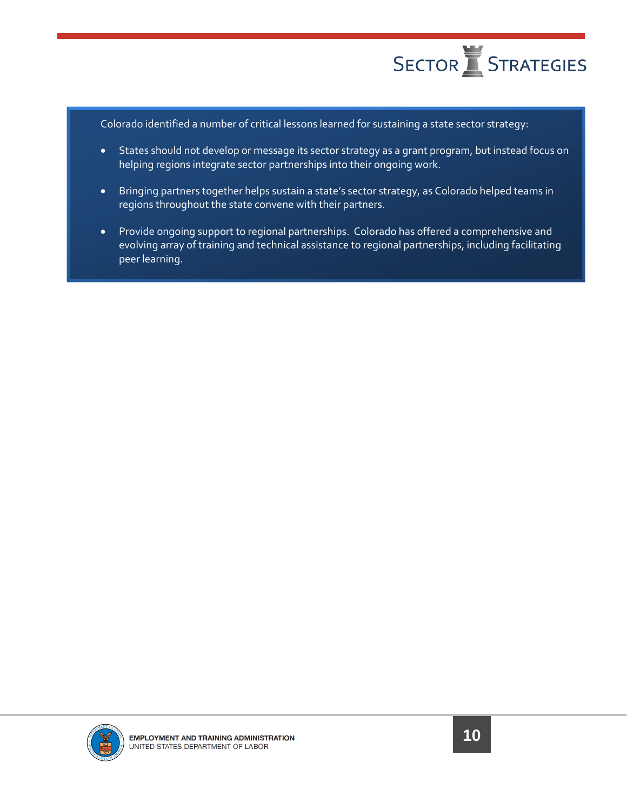

Colorado identified a number of critical lessons learned for sustaining a state sector strategy:

- States should not develop or message its sector strategy as a grant program, but instead focus on helping regions integrate sector partnerships into their ongoing work.
- Bringing partners together helps sustain a state's sector strategy, as Colorado helped teams in regions throughout the state convene with their partners.
- Provide ongoing support to regional partnerships. Colorado has offered a comprehensive and evolving array of training and technical assistance to regional partnerships, including facilitating peer learning.

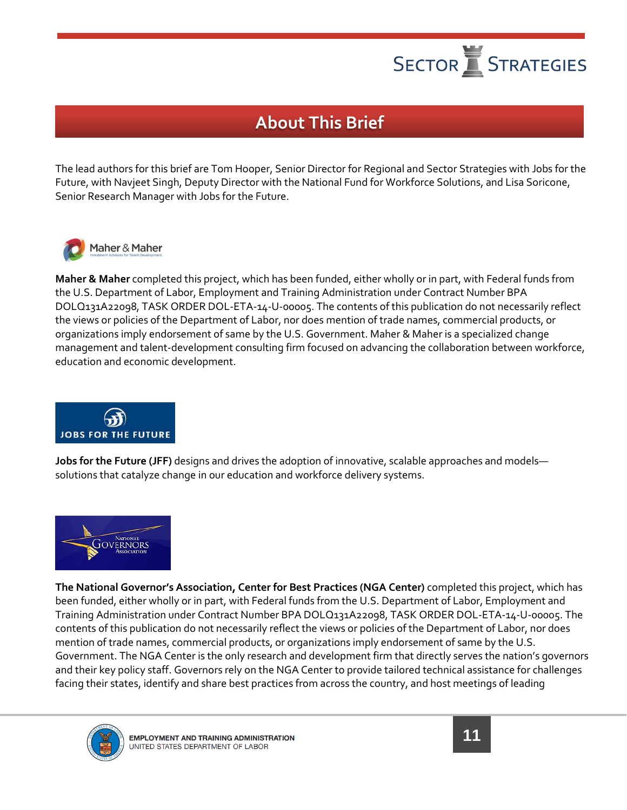

### **About This Brief**

The lead authors for this brief are Tom Hooper, Senior Director for Regional and Sector Strategies with Jobs for the Future, with Navjeet Singh, Deputy Director with the National Fund for Workforce Solutions, and Lisa Soricone, Senior Research Manager with Jobs for the Future.



**Maher & Maher** completed this project, which has been funded, either wholly or in part, with Federal funds from the U.S. Department of Labor, Employment and Training Administration under Contract Number BPA DOLQ131A22098, TASK ORDER DOL-ETA-14-U-00005. The contents of this publication do not necessarily reflect the views or policies of the Department of Labor, nor does mention of trade names, commercial products, or organizations imply endorsement of same by the U.S. Government. Maher & Maher is a specialized change management and talent-development consulting firm focused on advancing the collaboration between workforce, education and economic development.



**Jobs for the Future (JFF)** designs and drives the adoption of innovative, scalable approaches and models solutions that catalyze change in our education and workforce delivery systems.



**The National Governor's Association, Center for Best Practices (NGA Center)** completed this project, which has been funded, either wholly or in part, with Federal funds from the U.S. Department of Labor, Employment and Training Administration under Contract Number BPA DOLQ131A22098, TASK ORDER DOL-ETA-14-U-00005. The contents of this publication do not necessarily reflect the views or policies of the Department of Labor, nor does mention of trade names, commercial products, or organizations imply endorsement of same by the U.S. Government. The NGA Center is the only research and development firm that directly serves the nation's governors and their key policy staff. Governors rely on the NGA Center to provide tailored technical assistance for challenges facing their states, identify and share best practices from across the country, and host meetings of leading